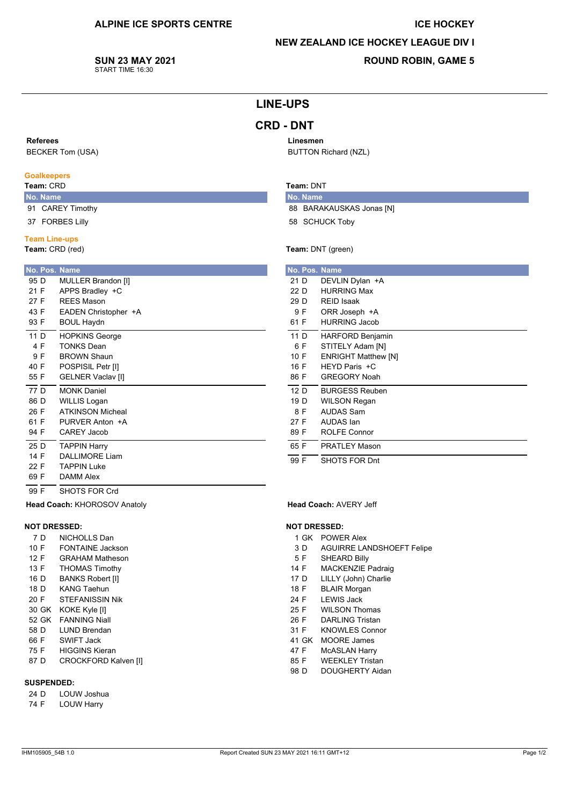## **ICE HOCKEY**

## **NEW ZEALAND ICE HOCKEY LEAGUE DIV I**

SUN 23 MAY 2021 START TIME 16:30

## **ROUND ROBIN, GAME 5**

## **LINE-UPS**

Linesmen

Team: DNT

No. Name

**BUTTON Richard (NZL)** 

58 SCHUCK Toby

Team: DNT (green)

No. Pos. Name  $21D$ 

 $22D$ 

 $29D$ 

9 F

89 F

 $\frac{1}{65}$  F

88 BARAKAUSKAS Jonas [N]

DEVLIN Dylan +A

HURRING Max

ORR Joseph +A

**RFID Isaak** 

# **CRD - DNT**

#### Referees

**BECKER Tom (USA)** 

### Goalkeepers

## Team: CRD

- No. Name 91 CAREY Timothy
- 37 FORBES Lilly

#### **Team Line-ups**

Team: CRD (red)

| No. Pos. Name |                          |
|---------------|--------------------------|
| 95 D          | MULLER Brandon [I]       |
| 21 F          | APPS Bradley +C          |
| 27 F          | RFFS Mason               |
| 43 F          | EADEN Christopher +A     |
| 93 F          | <b>BOUL Haydn</b>        |
| 11 D          | <b>HOPKINS George</b>    |
| 4 F           | <b>TONKS Dean</b>        |
| 9 F           | <b>BROWN Shaun</b>       |
| 40 F          | POSPISIL Petr [I]        |
| 55 F          | <b>GELNER Vaclav [I]</b> |
| 77 D          | <b>MONK Daniel</b>       |
| 86 D          | WILLIS Logan             |
| 26 F          | <b>ATKINSON Micheal</b>  |
| 61 F          | PURVER Anton +A          |
| 94 F          | <b>CAREY Jacob</b>       |
| 25 D          | <b>TAPPIN Harry</b>      |
| 14 F          | DALLIMORF Liam           |
| 22 F          | TAPPIN Luke              |
| 69 F          | <b>DAMM Alex</b>         |
|               |                          |

| 61 F | <b>HURRING Jacob</b>       |
|------|----------------------------|
| 11 D | <b>HARFORD Benjamin</b>    |
| 6 F  | STITELY Adam [N]           |
| 10 F | <b>ENRIGHT Matthew [N]</b> |
| 16 F | HEYD Paris +C              |
| 86 F | <b>GREGORY Noah</b>        |
| 12 D | <b>BURGESS Reuben</b>      |
| 19 D | WILSON Regan               |
| 8 F  | <b>AUDAS Sam</b>           |
| 27 F | AUDAS Ian                  |

 $\overline{99}$  F SHOTS FOR Dnt

**ROLFE Connor** 

**PRATLEY Mason** 

## SHOTS FOR Crd Head Coach: KHOROSOV Anatoly

#### **NOT DRESSED:**

 $\overline{99}$  F

- 7 D NICHOLLS Dan 10 F **FONTAINE Jackson**  $12 F$ **GRAHAM Matheson** 13 F **THOMAS Timothy BANKS Robert [I]** 16 D 18 D **KANG Taehun**
- $20 F$ **STEFANISSIN Nik**
- 30 GK KOKE Kyle [I]
- 52 GK FANNING Niall
- 58 D **LUND Brendan**
- 66 F SWIFT Jack
- 75 F **HIGGINS Kieran**
- 87 D **CROCKFORD Kalven [I]**

#### **SUSPENDED:**

- $24D$ LOUW Joshua
- 74 F **LOUW Harry**

# Head Coach: AVERY Jeff

#### **NOT DRESSED:**

- 1 GK POWER Alex
- $3D$ **AGUIRRE LANDSHOEFT Felipe**
- $5F$ **SHEARD Billy**
- 14 F MACKENZIE Padraig
- 17 D LILLY (John) Charlie
- 18 F **BLAIR Morgan**
- 24 F **LEWIS Jack**
- 25 F **WILSON Thomas**
- 26 F **DARLING Tristan**
- 31 F **KNOWLES Connor**
- 41 GK MOORE James
- 47 F **McASLAN Harry**
- 85 F **WEEKLEY Tristan**
- 98 D DOUGHERTY Aidan